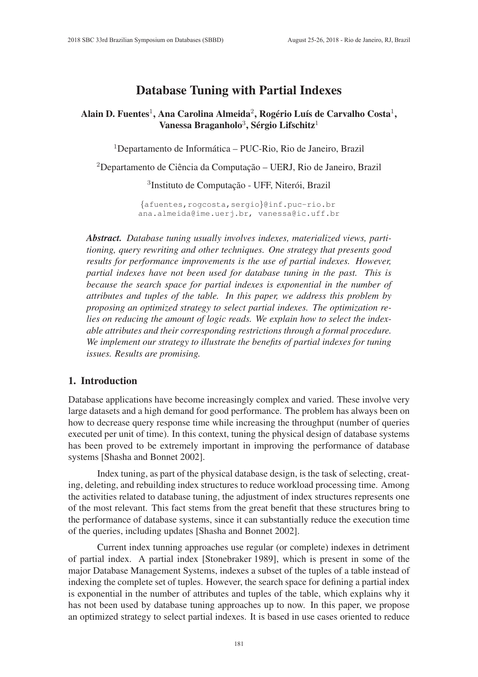# Database Tuning with Partial Indexes

# Alain D. Fuentes $^1$ , Ana Carolina Almeida $^2$ , Rogério Luís de Carvalho Costa $^1,$ Vanessa Braganholo<sup>3</sup>, Sérgio Lifschitz<sup>1</sup>

 $1$ Departamento de Informática – PUC-Rio, Rio de Janeiro, Brazil

<sup>2</sup>Departamento de Ciência da Computação – UERJ, Rio de Janeiro, Brazil

<sup>3</sup>Instituto de Computação - UFF, Niterói, Brazil

{afuentes,rogcosta,sergio}@inf.puc-rio.br ana.almeida@ime.uerj.br, vanessa@ic.uff.br

*Abstract. Database tuning usually involves indexes, materialized views, partitioning, query rewriting and other techniques. One strategy that presents good results for performance improvements is the use of partial indexes. However, partial indexes have not been used for database tuning in the past. This is because the search space for partial indexes is exponential in the number of attributes and tuples of the table. In this paper, we address this problem by proposing an optimized strategy to select partial indexes. The optimization relies on reducing the amount of logic reads. We explain how to select the indexable attributes and their corresponding restrictions through a formal procedure. We implement our strategy to illustrate the benefits of partial indexes for tuning issues. Results are promising.*

#### 1. Introduction

Database applications have become increasingly complex and varied. These involve very large datasets and a high demand for good performance. The problem has always been on how to decrease query response time while increasing the throughput (number of queries executed per unit of time). In this context, tuning the physical design of database systems has been proved to be extremely important in improving the performance of database systems [Shasha and Bonnet 2002].

Index tuning, as part of the physical database design, is the task of selecting, creating, deleting, and rebuilding index structures to reduce workload processing time. Among the activities related to database tuning, the adjustment of index structures represents one of the most relevant. This fact stems from the great benefit that these structures bring to the performance of database systems, since it can substantially reduce the execution time of the queries, including updates [Shasha and Bonnet 2002].

Current index tunning approaches use regular (or complete) indexes in detriment of partial index. A partial index [Stonebraker 1989], which is present in some of the major Database Management Systems, indexes a subset of the tuples of a table instead of indexing the complete set of tuples. However, the search space for defining a partial index is exponential in the number of attributes and tuples of the table, which explains why it has not been used by database tuning approaches up to now. In this paper, we propose an optimized strategy to select partial indexes. It is based in use cases oriented to reduce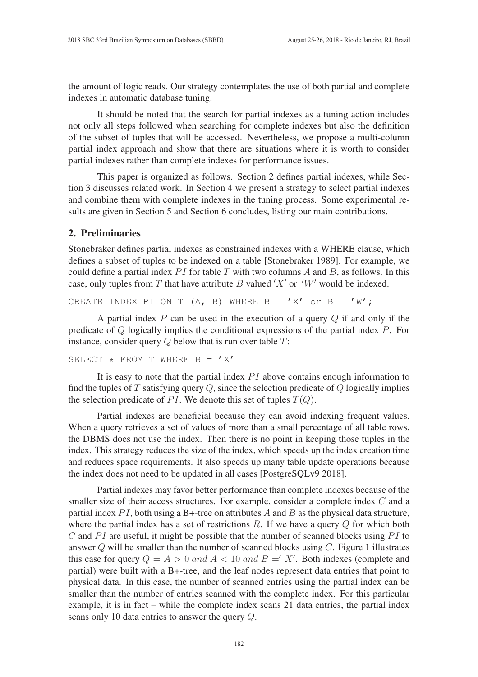the amount of logic reads. Our strategy contemplates the use of both partial and complete indexes in automatic database tuning.

It should be noted that the search for partial indexes as a tuning action includes not only all steps followed when searching for complete indexes but also the definition of the subset of tuples that will be accessed. Nevertheless, we propose a multi-column partial index approach and show that there are situations where it is worth to consider partial indexes rather than complete indexes for performance issues.

This paper is organized as follows. Section 2 defines partial indexes, while Section 3 discusses related work. In Section 4 we present a strategy to select partial indexes and combine them with complete indexes in the tuning process. Some experimental results are given in Section 5 and Section 6 concludes, listing our main contributions.

### 2. Preliminaries

Stonebraker defines partial indexes as constrained indexes with a WHERE clause, which defines a subset of tuples to be indexed on a table [Stonebraker 1989]. For example, we could define a partial index  $PI$  for table T with two columns A and B, as follows. In this case, only tuples from T that have attribute B valued  $'X'$  or  $'W'$  would be indexed.

CREATE INDEX PI ON T (A, B) WHERE  $B = 'X'$  or  $B = 'W';$ 

A partial index  $P$  can be used in the execution of a query  $Q$  if and only if the predicate of Q logically implies the conditional expressions of the partial index P. For instance, consider query  $Q$  below that is run over table  $T$ :

```
SELECT \star FROM T WHERE B = 'X'
```
It is easy to note that the partial index  $PI$  above contains enough information to find the tuples of  $T$  satisfying query  $Q$ , since the selection predicate of  $Q$  logically implies the selection predicate of PI. We denote this set of tuples  $T(Q)$ .

Partial indexes are beneficial because they can avoid indexing frequent values. When a query retrieves a set of values of more than a small percentage of all table rows, the DBMS does not use the index. Then there is no point in keeping those tuples in the index. This strategy reduces the size of the index, which speeds up the index creation time and reduces space requirements. It also speeds up many table update operations because the index does not need to be updated in all cases [PostgreSQLv9 2018].

Partial indexes may favor better performance than complete indexes because of the smaller size of their access structures. For example, consider a complete index C and a partial index  $PI$ , both using a B+-tree on attributes A and B as the physical data structure, where the partial index has a set of restrictions  $R$ . If we have a query  $Q$  for which both  $C$  and  $PI$  are useful, it might be possible that the number of scanned blocks using  $PI$  to answer  $Q$  will be smaller than the number of scanned blocks using  $C$ . Figure 1 illustrates this case for query  $Q = A > 0$  and  $A < 10$  and  $B = 'X'$ . Both indexes (complete and partial) were built with a B+-tree, and the leaf nodes represent data entries that point to physical data. In this case, the number of scanned entries using the partial index can be smaller than the number of entries scanned with the complete index. For this particular example, it is in fact – while the complete index scans 21 data entries, the partial index scans only 10 data entries to answer the query Q.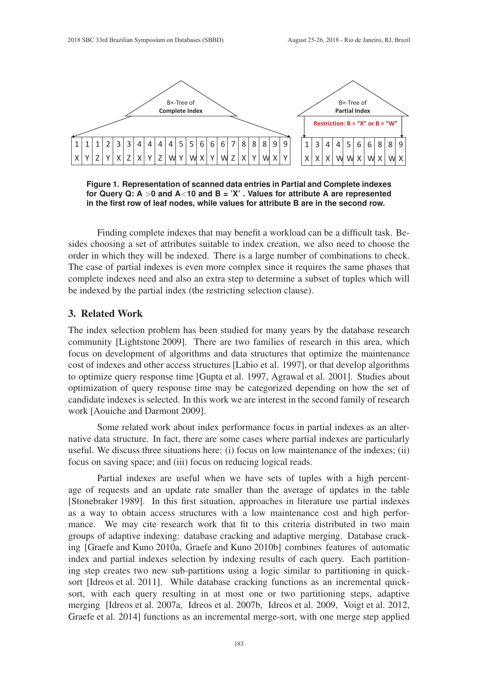

**Figure 1. Representation of scanned data entries in Partial and Complete indexes for Query Q: A** >**0 and A**<**10 and B = 'X' . Values for attribute A are represented in the first row of leaf nodes, while values for attribute B are in the second row.**

Finding complete indexes that may benefit a workload can be a difficult task. Besides choosing a set of attributes suitable to index creation, we also need to choose the order in which they will be indexed. There is a large number of combinations to check. The case of partial indexes is even more complex since it requires the same phases that complete indexes need and also an extra step to determine a subset of tuples which will be indexed by the partial index (the restricting selection clause).

#### 3. Related Work

The index selection problem has been studied for many years by the database research community [Lightstone 2009]. There are two families of research in this area, which focus on development of algorithms and data structures that optimize the maintenance cost of indexes and other access structures [Labio et al. 1997], or that develop algorithms to optimize query response time [Gupta et al. 1997, Agrawal et al. 2001]. Studies about optimization of query response time may be categorized depending on how the set of candidate indexes is selected. In this work we are interest in the second family of research work [Aouiche and Darmont 2009].

Some related work about index performance focus in partial indexes as an alternative data structure. In fact, there are some cases where partial indexes are particularly useful. We discuss three situations here: (i) focus on low maintenance of the indexes; (ii) focus on saving space; and (iii) focus on reducing logical reads.

Partial indexes are useful when we have sets of tuples with a high percentage of requests and an update rate smaller than the average of updates in the table [Stonebraker 1989]. In this first situation, approaches in literature use partial indexes as a way to obtain access structures with a low maintenance cost and high performance. We may cite research work that fit to this criteria distributed in two main groups of adaptive indexing: database cracking and adaptive merging. Database cracking [Graefe and Kuno 2010a, Graefe and Kuno 2010b] combines features of automatic index and partial indexes selection by indexing results of each query. Each partitioning step creates two new sub-partitions using a logic similar to partitioning in quicksort [Idreos et al. 2011]. While database cracking functions as an incremental quicksort, with each query resulting in at most one or two partitioning steps, adaptive merging [Idreos et al. 2007a, Idreos et al. 2007b, Idreos et al. 2009, Voigt et al. 2012, Graefe et al. 2014] functions as an incremental merge-sort, with one merge step applied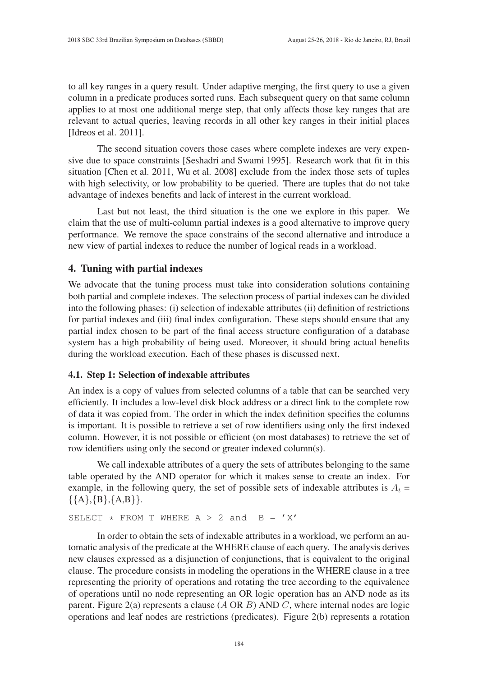to all key ranges in a query result. Under adaptive merging, the first query to use a given column in a predicate produces sorted runs. Each subsequent query on that same column applies to at most one additional merge step, that only affects those key ranges that are relevant to actual queries, leaving records in all other key ranges in their initial places [Idreos et al. 2011].

The second situation covers those cases where complete indexes are very expensive due to space constraints [Seshadri and Swami 1995]. Research work that fit in this situation [Chen et al. 2011, Wu et al. 2008] exclude from the index those sets of tuples with high selectivity, or low probability to be queried. There are tuples that do not take advantage of indexes benefits and lack of interest in the current workload.

Last but not least, the third situation is the one we explore in this paper. We claim that the use of multi-column partial indexes is a good alternative to improve query performance. We remove the space constrains of the second alternative and introduce a new view of partial indexes to reduce the number of logical reads in a workload.

#### 4. Tuning with partial indexes

We advocate that the tuning process must take into consideration solutions containing both partial and complete indexes. The selection process of partial indexes can be divided into the following phases: (i) selection of indexable attributes (ii) definition of restrictions for partial indexes and (iii) final index configuration. These steps should ensure that any partial index chosen to be part of the final access structure configuration of a database system has a high probability of being used. Moreover, it should bring actual benefits during the workload execution. Each of these phases is discussed next.

#### 4.1. Step 1: Selection of indexable attributes

An index is a copy of values from selected columns of a table that can be searched very efficiently. It includes a low-level disk block address or a direct link to the complete row of data it was copied from. The order in which the index definition specifies the columns is important. It is possible to retrieve a set of row identifiers using only the first indexed column. However, it is not possible or efficient (on most databases) to retrieve the set of row identifiers using only the second or greater indexed column(s).

We call indexable attributes of a query the sets of attributes belonging to the same table operated by the AND operator for which it makes sense to create an index. For example, in the following query, the set of possible sets of indexable attributes is  $A_t =$  $\{\{A\},\{B\},\{A,B\}\}.$ 

SELECT  $*$  FROM T WHERE A > 2 and B = 'X'

In order to obtain the sets of indexable attributes in a workload, we perform an automatic analysis of the predicate at the WHERE clause of each query. The analysis derives new clauses expressed as a disjunction of conjunctions, that is equivalent to the original clause. The procedure consists in modeling the operations in the WHERE clause in a tree representing the priority of operations and rotating the tree according to the equivalence of operations until no node representing an OR logic operation has an AND node as its parent. Figure 2(a) represents a clause  $(A \text{ OR } B)$  AND C, where internal nodes are logic operations and leaf nodes are restrictions (predicates). Figure 2(b) represents a rotation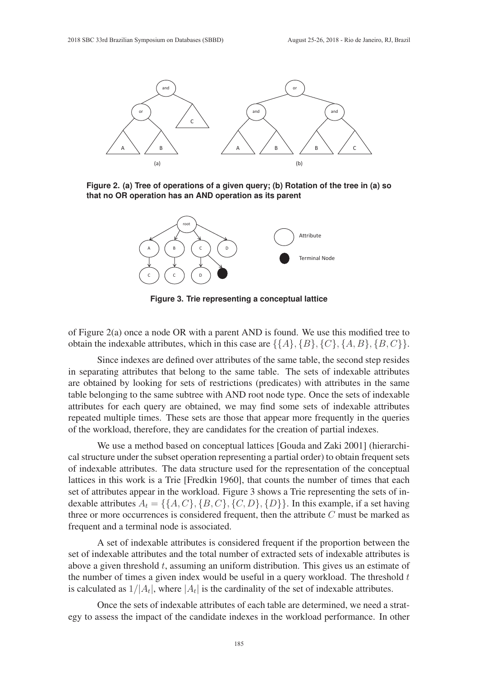

**Figure 2. (a) Tree of operations of a given query; (b) Rotation of the tree in (a) so that no OR operation has an AND operation as its parent**



**Figure 3. Trie representing a conceptual lattice**

of Figure 2(a) once a node OR with a parent AND is found. We use this modified tree to obtain the indexable attributes, which in this case are  $\{\{A\}, \{B\}, \{C\}, \{A, B\}, \{B, C\}\}.$ 

Since indexes are defined over attributes of the same table, the second step resides in separating attributes that belong to the same table. The sets of indexable attributes are obtained by looking for sets of restrictions (predicates) with attributes in the same table belonging to the same subtree with AND root node type. Once the sets of indexable attributes for each query are obtained, we may find some sets of indexable attributes repeated multiple times. These sets are those that appear more frequently in the queries of the workload, therefore, they are candidates for the creation of partial indexes.

We use a method based on conceptual lattices [Gouda and Zaki 2001] (hierarchical structure under the subset operation representing a partial order) to obtain frequent sets of indexable attributes. The data structure used for the representation of the conceptual lattices in this work is a Trie [Fredkin 1960], that counts the number of times that each set of attributes appear in the workload. Figure 3 shows a Trie representing the sets of indexable attributes  $A_t = \{ \{A, C\}, \{B, C\}, \{C, D\}, \{D\} \}$ . In this example, if a set having three or more occurrences is considered frequent, then the attribute  $C$  must be marked as frequent and a terminal node is associated.

A set of indexable attributes is considered frequent if the proportion between the set of indexable attributes and the total number of extracted sets of indexable attributes is above a given threshold  $t$ , assuming an uniform distribution. This gives us an estimate of the number of times a given index would be useful in a query workload. The threshold  $t$ is calculated as  $1/|A_t|$ , where  $|A_t|$  is the cardinality of the set of indexable attributes.

Once the sets of indexable attributes of each table are determined, we need a strategy to assess the impact of the candidate indexes in the workload performance. In other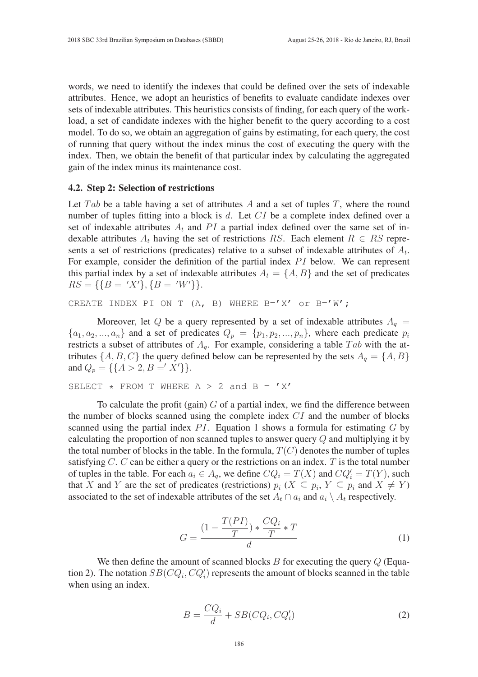words, we need to identify the indexes that could be defined over the sets of indexable attributes. Hence, we adopt an heuristics of benefits to evaluate candidate indexes over sets of indexable attributes. This heuristics consists of finding, for each query of the workload, a set of candidate indexes with the higher benefit to the query according to a cost model. To do so, we obtain an aggregation of gains by estimating, for each query, the cost of running that query without the index minus the cost of executing the query with the index. Then, we obtain the benefit of that particular index by calculating the aggregated gain of the index minus its maintenance cost.

#### 4.2. Step 2: Selection of restrictions

Let Tab be a table having a set of attributes A and a set of tuples T, where the round number of tuples fitting into a block is  $d$ . Let  $CI$  be a complete index defined over a set of indexable attributes  $A_t$  and PI a partial index defined over the same set of indexable attributes  $A_t$  having the set of restrictions RS. Each element  $R \in RS$  represents a set of restrictions (predicates) relative to a subset of indexable attributes of  $A_t$ . For example, consider the definition of the partial index  $PI$  below. We can represent this partial index by a set of indexable attributes  $A_t = \{A, B\}$  and the set of predicates  $RS = \{\{B = 'X'\}, \{B = 'W'\}\}.$ 

CREATE INDEX PI ON T (A, B) WHERE  $B='X'$  or  $B='W'$ ;

Moreover, let Q be a query represented by a set of indexable attributes  $A_q =$  ${a_1, a_2, ..., a_n}$  and a set of predicates  $Q_p = {p_1, p_2, ..., p_n}$ , where each predicate  $p_i$ restricts a subset of attributes of  $A<sub>q</sub>$ . For example, considering a table  $Tab$  with the attributes  $\{A, B, C\}$  the query defined below can be represented by the sets  $A_q = \{A, B\}$ and  $Q_p = \{\{A > 2, B = 'X'\}\}.$ 

```
SELECT \star FROM T WHERE A > 2 and B = 'X'
```
To calculate the profit (gain)  $G$  of a partial index, we find the difference between the number of blocks scanned using the complete index  $CI$  and the number of blocks scanned using the partial index  $PI$ . Equation 1 shows a formula for estimating  $G$  by calculating the proportion of non scanned tuples to answer query  $Q$  and multiplying it by the total number of blocks in the table. In the formula,  $T(C)$  denotes the number of tuples satisfying  $C$ .  $C$  can be either a query or the restrictions on an index.  $T$  is the total number of tuples in the table. For each  $a_i \in A_q$ , we define  $CQ_i = T(X)$  and  $CQ'_i = T(Y)$ , such that X and Y are the set of predicates (restrictions)  $p_i$  ( $X \subseteq p_i$ ,  $Y \subseteq p_i$  and  $X \neq Y$ ) associated to the set of indexable attributes of the set  $A_t \cap a_i$  and  $a_i \setminus A_t$  respectively.

$$
G = \frac{(1 - \frac{T(PI)}{T}) \cdot \frac{CQ_i}{T} \cdot T}{d} \tag{1}
$$

We then define the amount of scanned blocks  $B$  for executing the query  $Q$  (Equation 2). The notation  $SB(CQ_i, CQ'_i)$  represents the amount of blocks scanned in the table when using an index.

$$
B = \frac{CQ_i}{d} + SB(CQ_i, CQ_i')
$$
\n(2)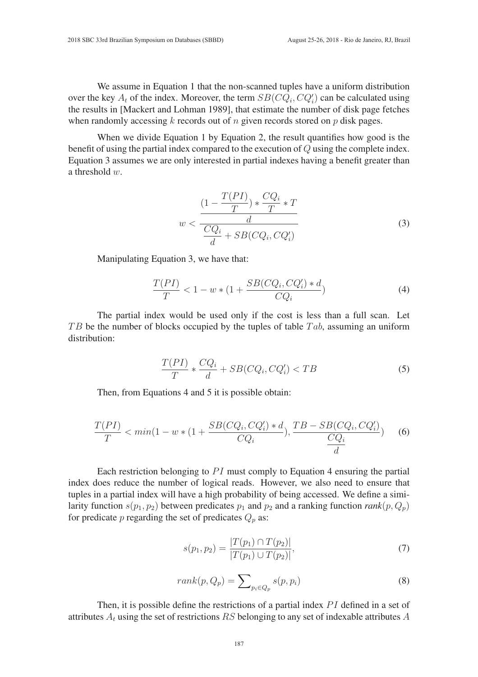We assume in Equation 1 that the non-scanned tuples have a uniform distribution over the key  $A_t$  of the index. Moreover, the term  $SB(CQ_i, CQ'_i)$  can be calculated using the results in [Mackert and Lohman 1989], that estimate the number of disk page fetches when randomly accessing  $k$  records out of  $n$  given records stored on  $p$  disk pages.

When we divide Equation 1 by Equation 2, the result quantifies how good is the benefit of using the partial index compared to the execution of Q using the complete index. Equation 3 assumes we are only interested in partial indexes having a benefit greater than a threshold  $w$ .

$$
w < \frac{\frac{(1 - \frac{T(PI)}{T}) \cdot \frac{CQ_i}{T} \cdot T}{d}}{\frac{CQ_i}{d} + SB(CQ_i, CQ_i')} \tag{3}
$$

Manipulating Equation 3, we have that:

$$
\frac{T(PI)}{T} < 1 - w * (1 + \frac{SB(CQ_i, CQ_i') * d}{CQ_i}) \tag{4}
$$

The partial index would be used only if the cost is less than a full scan. Let  $TB$  be the number of blocks occupied by the tuples of table  $Tab$ , assuming an uniform distribution:

$$
\frac{T(PI)}{T} * \frac{CQ_i}{d} + SB(CQ_i, CQ_i') < TB \tag{5}
$$

Then, from Equations 4 and 5 it is possible obtain:

$$
\frac{T(PI)}{T} < \min(1 - w * (1 + \frac{SB(CQ_i, CQ_i') * d}{CQ_i}), \frac{TB - SB(CQ_i, CQ_i')}{\frac{CQ_i}{d}}) \tag{6}
$$

Each restriction belonging to  $PI$  must comply to Equation 4 ensuring the partial index does reduce the number of logical reads. However, we also need to ensure that tuples in a partial index will have a high probability of being accessed. We define a similarity function  $s(p_1, p_2)$  between predicates  $p_1$  and  $p_2$  and a ranking function *rank*( $p, Q_p$ ) for predicate p regarding the set of predicates  $Q_p$  as:

$$
s(p_1, p_2) = \frac{|T(p_1) \cap T(p_2)|}{|T(p_1) \cup T(p_2)|},\tag{7}
$$

$$
rank(p, Q_p) = \sum_{p_i \in Q_p} s(p, p_i)
$$
\n(8)

Then, it is possible define the restrictions of a partial index  $PI$  defined in a set of attributes  $A_t$  using the set of restrictions RS belonging to any set of indexable attributes A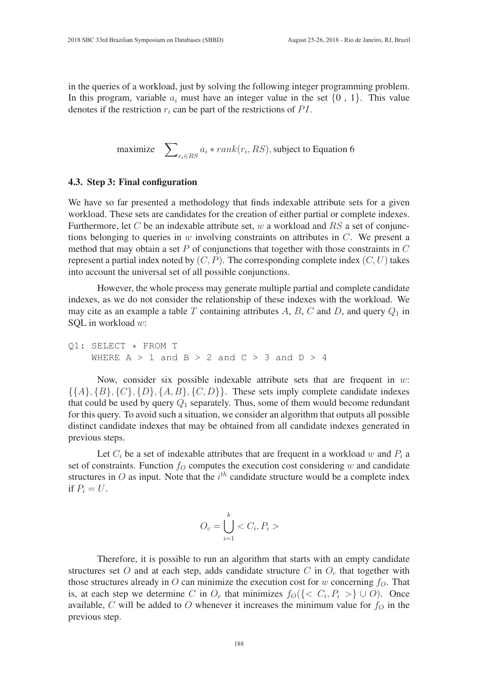in the queries of a workload, just by solving the following integer programming problem. In this program, variable  $a_i$  must have an integer value in the set  $\{0, 1\}$ . This value denotes if the restriction  $r_i$  can be part of the restrictions of PI.

maximize  $\sum_{r_i \in RS} a_i * rank(r_i, RS)$ , subject to Equation 6

#### 4.3. Step 3: Final configuration

We have so far presented a methodology that finds indexable attribute sets for a given workload. These sets are candidates for the creation of either partial or complete indexes. Furthermore, let C be an indexable attribute set, w a workload and RS a set of conjunctions belonging to queries in  $w$  involving constraints on attributes in  $C$ . We present a method that may obtain a set P of conjunctions that together with those constraints in  $C$ represent a partial index noted by  $(C, P)$ . The corresponding complete index  $(C, U)$  takes into account the universal set of all possible conjunctions.

However, the whole process may generate multiple partial and complete candidate indexes, as we do not consider the relationship of these indexes with the workload. We may cite as an example a table T containing attributes A, B, C and D, and query  $Q_1$  in SQL in workload w:

Q1: SELECT \* FROM T WHERE  $A > 1$  and  $B > 2$  and  $C > 3$  and  $D > 4$ 

Now, consider six possible indexable attribute sets that are frequent in  $w$ .  $\{\{A\}, \{B\}, \{C\}, \{D\}, \{A, B\}, \{C, D\}\}\$ . These sets imply complete candidate indexes that could be used by query  $Q_1$  separately. Thus, some of them would become redundant for this query. To avoid such a situation, we consider an algorithm that outputs all possible distinct candidate indexes that may be obtained from all candidate indexes generated in previous steps.

Let  $C_i$  be a set of indexable attributes that are frequent in a workload w and  $P_i$  a set of constraints. Function  $f<sub>O</sub>$  computes the execution cost considering w and candidate structures in O as input. Note that the  $i^{th}$  candidate structure would be a complete index if  $P_i = U$ .

$$
O_c = \bigcup_{i=1}^k < C_i, P_i > \quad
$$

Therefore, it is possible to run an algorithm that starts with an empty candidate structures set O and at each step, adds candidate structure C in  $O<sub>c</sub>$  that together with those structures already in O can minimize the execution cost for w concerning  $f<sub>O</sub>$ . That is, at each step we determine C in  $O_c$  that minimizes  $f_O(\lbrace \langle C_i, P_i \rangle \rbrace \cup O)$ . Once available, C will be added to O whenever it increases the minimum value for  $f<sub>O</sub>$  in the previous step.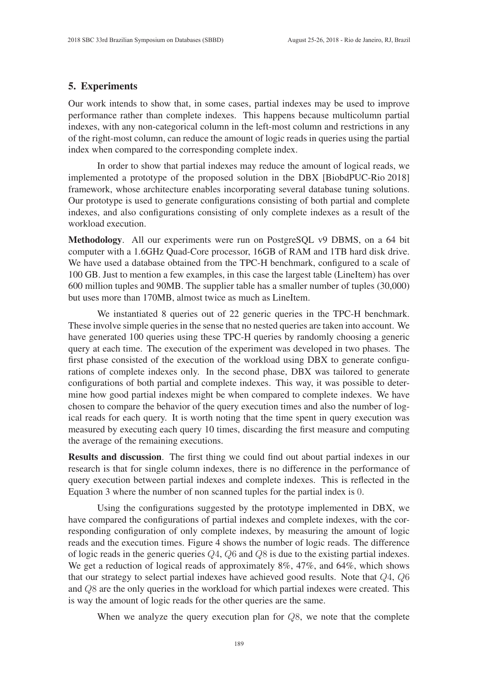## 5. Experiments

Our work intends to show that, in some cases, partial indexes may be used to improve performance rather than complete indexes. This happens because multicolumn partial indexes, with any non-categorical column in the left-most column and restrictions in any of the right-most column, can reduce the amount of logic reads in queries using the partial index when compared to the corresponding complete index.

In order to show that partial indexes may reduce the amount of logical reads, we implemented a prototype of the proposed solution in the DBX [BiobdPUC-Rio 2018] framework, whose architecture enables incorporating several database tuning solutions. Our prototype is used to generate configurations consisting of both partial and complete indexes, and also configurations consisting of only complete indexes as a result of the workload execution.

Methodology. All our experiments were run on PostgreSQL v9 DBMS, on a 64 bit computer with a 1.6GHz Quad-Core processor, 16GB of RAM and 1TB hard disk drive. We have used a database obtained from the TPC-H benchmark, configured to a scale of 100 GB. Just to mention a few examples, in this case the largest table (LineItem) has over 600 million tuples and 90MB. The supplier table has a smaller number of tuples (30,000) but uses more than 170MB, almost twice as much as LineItem.

We instantiated 8 queries out of 22 generic queries in the TPC-H benchmark. These involve simple queries in the sense that no nested queries are taken into account. We have generated 100 queries using these TPC-H queries by randomly choosing a generic query at each time. The execution of the experiment was developed in two phases. The first phase consisted of the execution of the workload using DBX to generate configurations of complete indexes only. In the second phase, DBX was tailored to generate configurations of both partial and complete indexes. This way, it was possible to determine how good partial indexes might be when compared to complete indexes. We have chosen to compare the behavior of the query execution times and also the number of logical reads for each query. It is worth noting that the time spent in query execution was measured by executing each query 10 times, discarding the first measure and computing the average of the remaining executions.

Results and discussion. The first thing we could find out about partial indexes in our research is that for single column indexes, there is no difference in the performance of query execution between partial indexes and complete indexes. This is reflected in the Equation 3 where the number of non scanned tuples for the partial index is 0.

Using the configurations suggested by the prototype implemented in DBX, we have compared the configurations of partial indexes and complete indexes, with the corresponding configuration of only complete indexes, by measuring the amount of logic reads and the execution times. Figure 4 shows the number of logic reads. The difference of logic reads in the generic queries Q4, Q6 and Q8 is due to the existing partial indexes. We get a reduction of logical reads of approximately 8%, 47%, and 64%, which shows that our strategy to select partial indexes have achieved good results. Note that  $Q_4$ ,  $Q_6$ and Q8 are the only queries in the workload for which partial indexes were created. This is way the amount of logic reads for the other queries are the same.

When we analyze the query execution plan for  $Q8$ , we note that the complete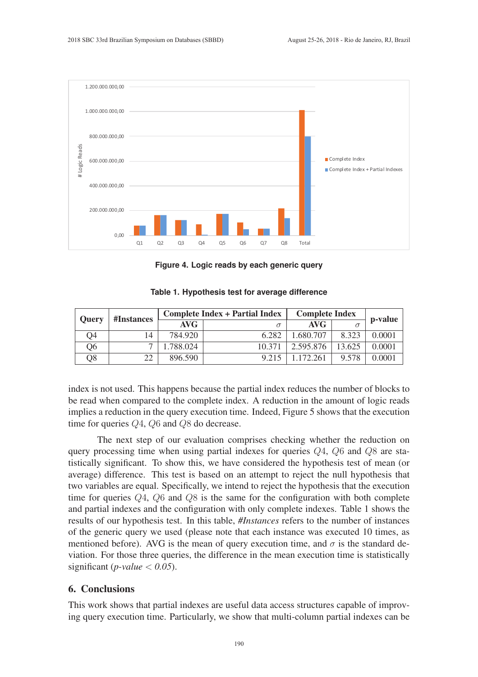

**Figure 4. Logic reads by each generic query**

| <b>Ouery</b> | #Instances | <b>Complete Index + Partial Index</b> |          | <b>Complete Index</b> |        | p-value |
|--------------|------------|---------------------------------------|----------|-----------------------|--------|---------|
|              |            | AVG                                   | $\sigma$ | AVG                   |        |         |
| Q4           | 14         | 784.920                               | 6.282    | 1.680.707             | 8.323  | 0.0001  |
| Ο6           |            | .788.024                              | 10 371   | 2.595.876             | 13.625 | 0.0001  |
| Q8           | າາ         | 896.590                               | 9.215    | 1.172.261             | 9.578  | 0.0001  |

**Table 1. Hypothesis test for average difference**

index is not used. This happens because the partial index reduces the number of blocks to be read when compared to the complete index. A reduction in the amount of logic reads implies a reduction in the query execution time. Indeed, Figure 5 shows that the execution time for queries  $Q_4$ ,  $Q_6$  and  $Q_8$  do decrease.

The next step of our evaluation comprises checking whether the reduction on query processing time when using partial indexes for queries  $Q_4$ ,  $Q_6$  and  $Q_8$  are statistically significant. To show this, we have considered the hypothesis test of mean (or average) difference. This test is based on an attempt to reject the null hypothesis that two variables are equal. Specifically, we intend to reject the hypothesis that the execution time for queries Q4, Q6 and Q8 is the same for the configuration with both complete and partial indexes and the configuration with only complete indexes. Table 1 shows the results of our hypothesis test. In this table, *#Instances* refers to the number of instances of the generic query we used (please note that each instance was executed 10 times, as mentioned before). AVG is the mean of query execution time, and  $\sigma$  is the standard deviation. For those three queries, the difference in the mean execution time is statistically significant (*p-value* < *0.05*).

#### 6. Conclusions

This work shows that partial indexes are useful data access structures capable of improving query execution time. Particularly, we show that multi-column partial indexes can be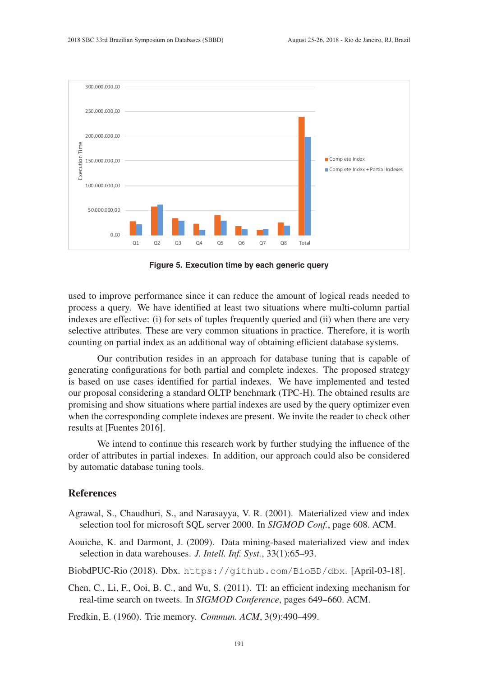

**Figure 5. Execution time by each generic query**

used to improve performance since it can reduce the amount of logical reads needed to process a query. We have identified at least two situations where multi-column partial indexes are effective: (i) for sets of tuples frequently queried and (ii) when there are very selective attributes. These are very common situations in practice. Therefore, it is worth counting on partial index as an additional way of obtaining efficient database systems.

Our contribution resides in an approach for database tuning that is capable of generating configurations for both partial and complete indexes. The proposed strategy is based on use cases identified for partial indexes. We have implemented and tested our proposal considering a standard OLTP benchmark (TPC-H). The obtained results are promising and show situations where partial indexes are used by the query optimizer even when the corresponding complete indexes are present. We invite the reader to check other results at [Fuentes 2016].

We intend to continue this research work by further studying the influence of the order of attributes in partial indexes. In addition, our approach could also be considered by automatic database tuning tools.

### References

- Agrawal, S., Chaudhuri, S., and Narasayya, V. R. (2001). Materialized view and index selection tool for microsoft SQL server 2000. In *SIGMOD Conf.*, page 608. ACM.
- Aouiche, K. and Darmont, J. (2009). Data mining-based materialized view and index selection in data warehouses. *J. Intell. Inf. Syst.*, 33(1):65–93.
- BiobdPUC-Rio (2018). Dbx. https://github.com/BioBD/dbx. [April-03-18].
- Chen, C., Li, F., Ooi, B. C., and Wu, S. (2011). TI: an efficient indexing mechanism for real-time search on tweets. In *SIGMOD Conference*, pages 649–660. ACM.

Fredkin, E. (1960). Trie memory. *Commun. ACM*, 3(9):490–499.